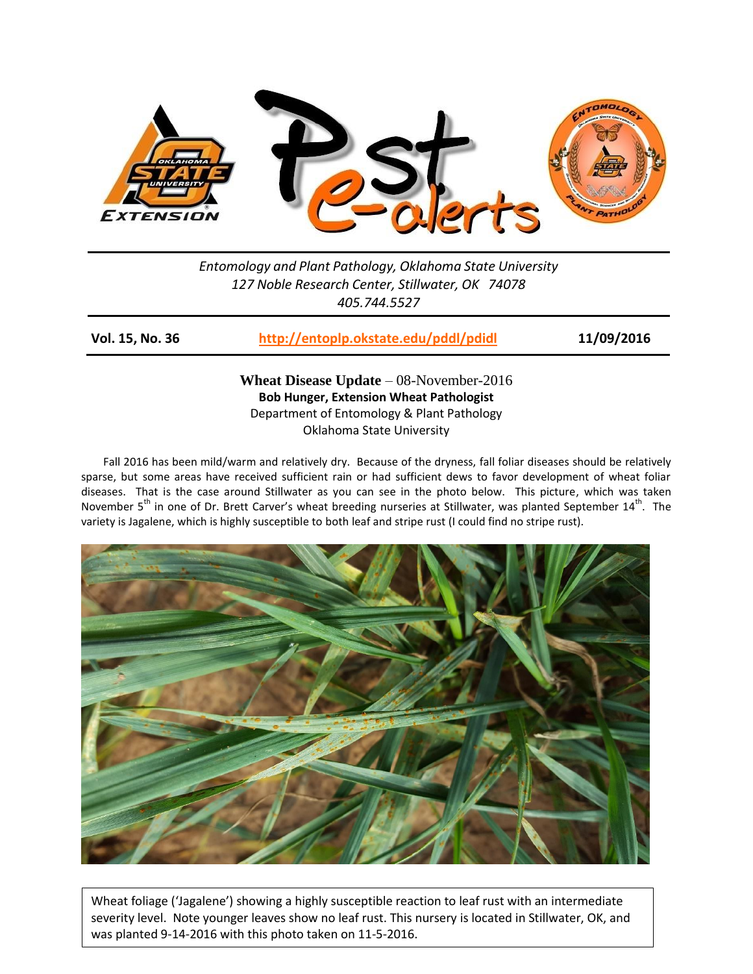

*Entomology and Plant Pathology, Oklahoma State University 127 Noble Research Center, Stillwater, OK 74078 405.744.5527*

**Vol. 15, No. 36 <http://entoplp.okstate.edu/pddl/pdidl> 11/09/2016**

**Wheat Disease Update** – 08-November-2016 **Bob Hunger, Extension Wheat Pathologist** Department of Entomology & Plant Pathology Oklahoma State University

Fall 2016 has been mild/warm and relatively dry. Because of the dryness, fall foliar diseases should be relatively sparse, but some areas have received sufficient rain or had sufficient dews to favor development of wheat foliar diseases. That is the case around Stillwater as you can see in the photo below. This picture, which was taken November 5<sup>th</sup> in one of Dr. Brett Carver's wheat breeding nurseries at Stillwater, was planted September 14<sup>th</sup>. The variety is Jagalene, which is highly susceptible to both leaf and stripe rust (I could find no stripe rust).



Wheat foliage ('Jagalene') showing a highly susceptible reaction to leaf rust with an intermediate severity level. Note younger leaves show no leaf rust. This nursery is located in Stillwater, OK, and was planted 9-14-2016 with this photo taken on 11-5-2016.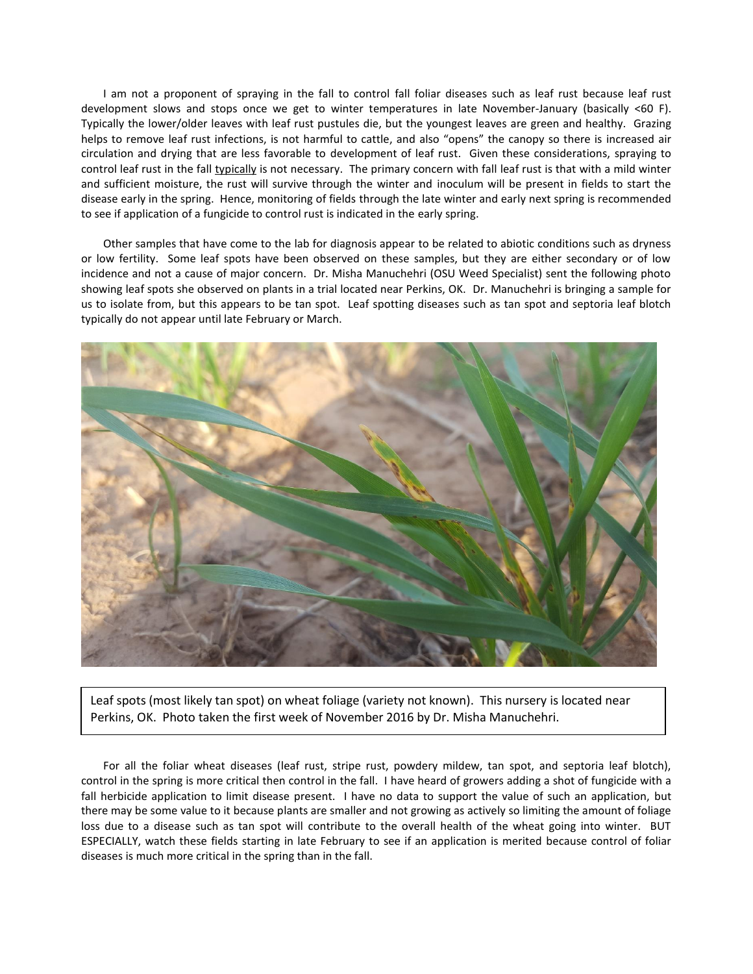I am not a proponent of spraying in the fall to control fall foliar diseases such as leaf rust because leaf rust development slows and stops once we get to winter temperatures in late November-January (basically <60 F). Typically the lower/older leaves with leaf rust pustules die, but the youngest leaves are green and healthy. Grazing helps to remove leaf rust infections, is not harmful to cattle, and also "opens" the canopy so there is increased air circulation and drying that are less favorable to development of leaf rust. Given these considerations, spraying to control leaf rust in the fall typically is not necessary. The primary concern with fall leaf rust is that with a mild winter and sufficient moisture, the rust will survive through the winter and inoculum will be present in fields to start the disease early in the spring. Hence, monitoring of fields through the late winter and early next spring is recommended to see if application of a fungicide to control rust is indicated in the early spring.

Other samples that have come to the lab for diagnosis appear to be related to abiotic conditions such as dryness or low fertility. Some leaf spots have been observed on these samples, but they are either secondary or of low incidence and not a cause of major concern. Dr. Misha Manuchehri (OSU Weed Specialist) sent the following photo showing leaf spots she observed on plants in a trial located near Perkins, OK. Dr. Manuchehri is bringing a sample for us to isolate from, but this appears to be tan spot. Leaf spotting diseases such as tan spot and septoria leaf blotch typically do not appear until late February or March.



Leaf spots (most likely tan spot) on wheat foliage (variety not known). This nursery is located near Perkins, OK. Photo taken the first week of November 2016 by Dr. Misha Manuchehri.

For all the foliar wheat diseases (leaf rust, stripe rust, powdery mildew, tan spot, and septoria leaf blotch), control in the spring is more critical then control in the fall. I have heard of growers adding a shot of fungicide with a fall herbicide application to limit disease present. I have no data to support the value of such an application, but there may be some value to it because plants are smaller and not growing as actively so limiting the amount of foliage loss due to a disease such as tan spot will contribute to the overall health of the wheat going into winter. BUT ESPECIALLY, watch these fields starting in late February to see if an application is merited because control of foliar diseases is much more critical in the spring than in the fall.